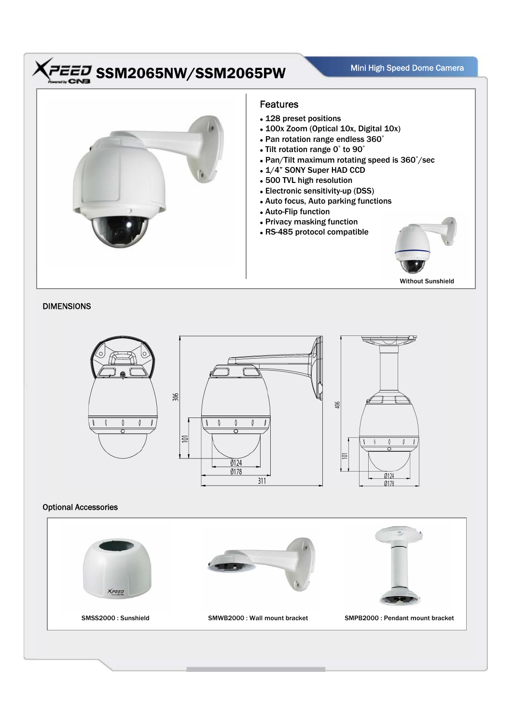## $\overline{H}$   $\overline{H}$  SSM2065NW/SSM2065PW Mini High Speed Dome Camera Speed Dome Camera



## DIMENSIONS



## Optional Accessories